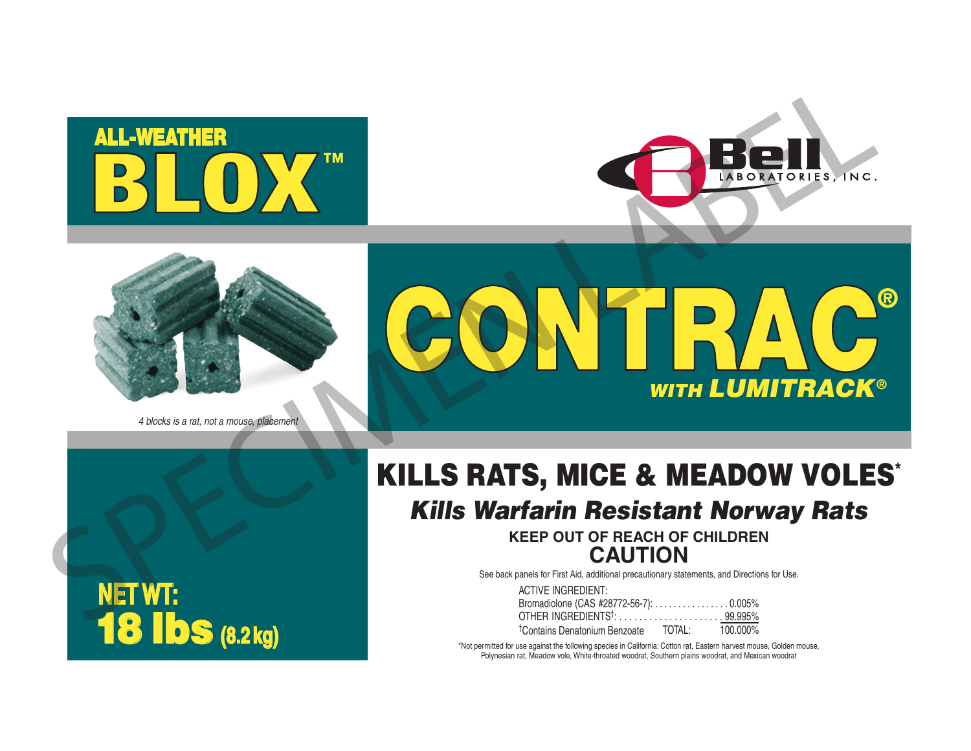# **™**





*4 blocks is a rat, not a mouse, placement*



# GONTRAC *WITH LUMITRACK*® ® BLOX WE CONTRACTED WITH LUMITRACK

# **KEEP OUT OF REACH OF CHILDREN** KILLS RATS, MICE & MEADOW VOLES\* *Kills Warfarin Resistant Norway Rats*

**CAUTION**

See back panels for First Aid, additional precautionary statements, and Directions for Use.

| ACTIVE INGREDIENT:                        |        |          |
|-------------------------------------------|--------|----------|
| Bromadiolone (CAS #28772-56-7): 0.005%    |        |          |
| OTHER INGREDIENTS <sup>†</sup> : 99.995%  |        |          |
| <sup>†</sup> Contains Denatonium Benzoate | TOTAL: | 100.000% |

\*Not permitted for use against the following species in California: Cotton rat, Eastern harvest mouse, Golden mouse, Polynesian rat, Meadow vole, White-throated woodrat, Southern plains woodrat, and Mexican woodrat